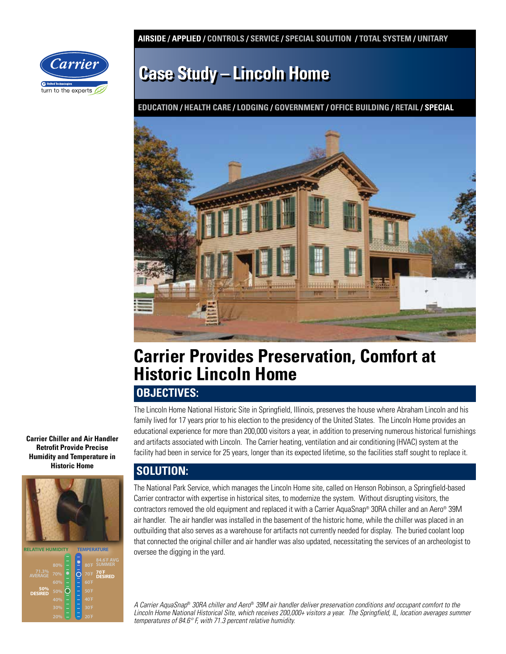**AIRSIDE / APPLIED / CONTROLS / SERVICE / SPECIAL SOLUTION / TOTAL SYSTEM / UNITARY** 



# **Case Study – Lincoln Home**

**EDUCATION / HEALTH CARE / LODGING / GOVERNMENT / OFFICE BUILDING / RETAIL / SPECIAL**



## **Carrier Provides Preservation, Comfort at Historic Lincoln Home**

### **OBJECTIVES:**

The Lincoln Home National Historic Site in Springfield, Illinois, preserves the house where Abraham Lincoln and his family lived for 17 years prior to his election to the presidency of the United States. The Lincoln Home provides an educational experience for more than 200,000 visitors a year, in addition to preserving numerous historical furnishings and artifacts associated with Lincoln. The Carrier heating, ventilation and air conditioning (HVAC) system at the facility had been in service for 25 years, longer than its expected lifetime, so the facilities staff sought to replace it.

### **SOLUTION:**

The National Park Service, which manages the Lincoln Home site, called on Henson Robinson, a Springfield-based Carrier contractor with expertise in historical sites, to modernize the system. Without disrupting visitors, the contractors removed the old equipment and replaced it with a Carrier AquaSnap® 30RA chiller and an Aero® 39M air handler. The air handler was installed in the basement of the historic home, while the chiller was placed in an outbuilding that also serves as a warehouse for artifacts not currently needed for display. The buried coolant loop that connected the original chiller and air handler was also updated, necessitating the services of an archeologist to oversee the digging in the yard.

A Carrier AquaSnap® 30RA chiller and Aero® 39M air handler deliver preservation conditions and occupant comfort to the Lincoln Home National Historical Site, which receives 200,000+ visitors a year. The Springfield, IL, location averages summer temperatures of 84.6° F, with 71.3 percent relative humidity.

**Carrier Chiller and Air Handler Retrofit Provide Precise Humidity and Temperature in Historic Home**